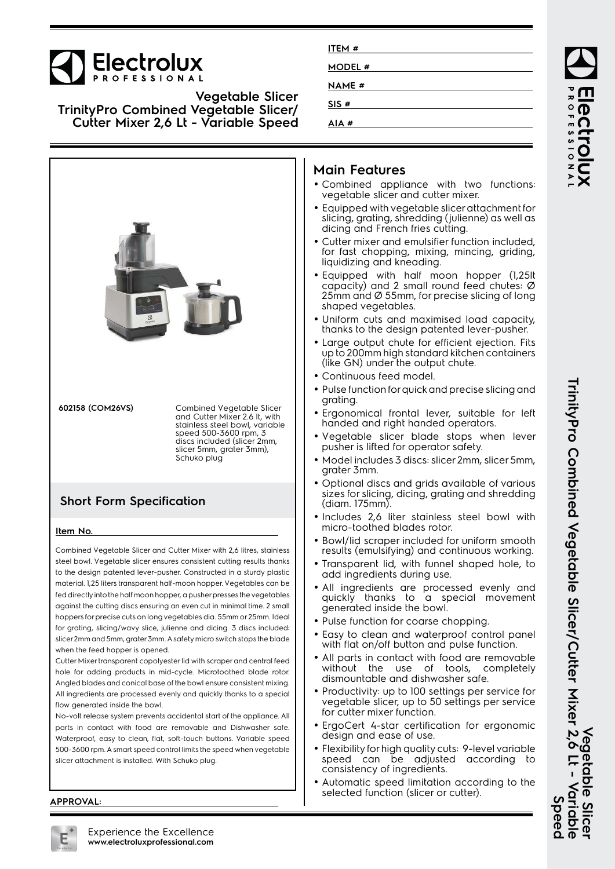

**Vegetable Slicer TrinityPro Combined Vegetable Slicer/ Cutter Mixer 2,6 Lt - Variable Speed**



fed directly into the half moon hopper, a pusher presses the vegetables against the cutting discs ensuring an even cut in minimal time. 2 small hoppers for precise cuts on long vegetables dia. 55mm or 25mm. Ideal for grating, slicing/wavy slice, julienne and dicing. 3 discs included: slicer 2mm and 5mm, grater 3mm. A safety micro switch stops the blade when the feed hopper is opened.

Cutter Mixer transparent copolyester lid with scraper and central feed hole for adding products in mid-cycle. Microtoothed blade rotor. Angled blades and conical base of the bowl ensure consistent mixing. All ingredients are processed evenly and quickly thanks to a special flow generated inside the bowl.

No-volt release system prevents accidental start of the appliance. All parts in contact with food are removable and Dishwasher safe. Waterproof, easy to clean, flat, soft-touch buttons. Variable speed 500-3600 rpm. A smart speed control limits the speed when vegetable slicer attachment is installed. With Schuko plug.

| ITEM #        |  |
|---------------|--|
|               |  |
| MODEL #       |  |
| <b>NAME</b> # |  |
| SIS#          |  |
| # AIA         |  |
|               |  |

## **Main Features**

- Combined appliance with two functions: vegetable slicer and cutter mixer.
- Equipped with vegetable slicer attachment for slicing, grating, shredding (julienne) as well as dicing and French fries cutting.
- • Cutter mixer and emulsifier function included, for fast chopping, mixing, mincing, griding, liquidizing and kneading.
- Equipped with half moon hopper (1,25lt capacity) and 2 small round feed chutes: Ø 25mm and Ø 55mm, for precise slicing of long shaped vegetables.
- Uniform cuts and maximised load capacity, thanks to the design patented lever-pusher.
- Large output chute for efficient ejection. Fits up to 200mm high standard kitchen containers (like GN) under the output chute.
- •Continuous feed model.
- Pulse function for quick and precise slicing and grating.
- Ergonomical frontal lever, suitable for left handed and right handed operators.
- Vegetable slicer blade stops when lever pusher is lifted for operator safety.
- Model includes 3 discs: slicer 2mm, slicer 5mm, grater 3mm.
- • Optional discs and grids available of various sizes for slicing, dicing, grating and shredding (diam. 175mm).
- Includes 2,6 liter stainless steel bowl with micro-toothed blades rotor.
- Bowl/lid scraper included for uniform smooth results (emulsifying) and continuous working.
- Transparent lid, with funnel shaped hole, to add ingredients during use.
- All ingredients are processed evenly and quickly thanks to a special movement generated inside the bowl.
- Pulse function for coarse chopping.
- • Easy to clean and waterproof control panel with flat on/off button and pulse function.
- • All parts in contact with food are removable without the use of tools, completely dismountable and dishwasher safe.
- Productivity: up to 100 settings per service for vegetable slicer, up to 50 settings per service for cutter mixer function.
- ErgoCert 4-star certification for ergonomic design and ease of use.
- Flexibility for high quality cuts: 9-level variable speed can be adjusted according to consistency of ingredients.
- • Automatic speed limitation according to the selected function (slicer or cutter).

ROFESSIONA

**TrinityPro Combined Vegetable Slicer/Cutter Mixer 2,6 Lt - Variable** TrinityPro Corpianis Alegerale Slicer/Cutter Mixer 2,6 Lt - Varianis **Vegetable Slicer** Vegetable **Speed**  $\overline{a}$  $\bar{5}$  $\boldsymbol{\sigma}$  $\overline{\mathbf{a}}$ 

**APPROVAL:**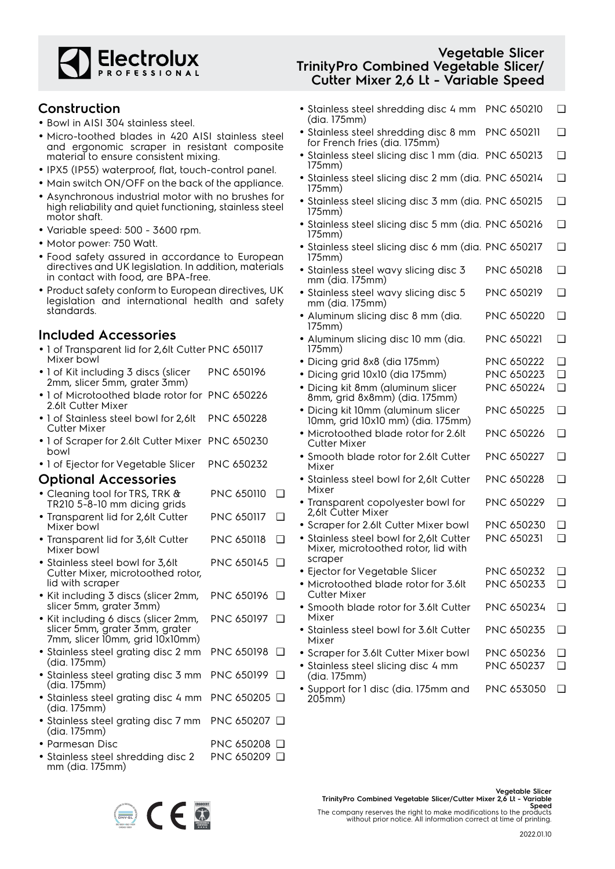

#### **Construction**

- Bowl in AISI 304 stainless steel.
- Micro-toothed blades in 420 AISI stainless steel and ergonomic scraper in resistant composite material to ensure consistent mixing.
- IPX5 (IP55) waterproof, flat, touch-control panel.
- Main switch ON/OFF on the back of the appliance.
- Asynchronous industrial motor with no brushes for high reliability and quiet functioning, stainless steel motor shaft.
- Variable speed: 500 3600 rpm.
- Motor power: 750 Watt.
- Food safety assured in accordance to European directives and UK legislation. In addition, materials in contact with food, are BPA-free.
- Product safety conform to European directives, UK legislation and international health and safety standards.

# **Included Accessories**

- 1 of Transparent lid for 2,6It Cutter PNC 650117 Mixer bowl
- 1 of Kit including 3 discs (slicer 2mm, slicer 5mm, grater 3mm) PNC 650196
- 1 of Microtoothed blade rotor for PNC 650226 2.6lt Cutter Mixer
- 1 of Stainless steel bowl for 2,6lt Cutter Mixer PNC 650228
- 1 of Scraper for 2.6lt Cutter Mixer PNC 650230 bowl
- 1 of Ejector for Vegetable Slicer PNC 650232

#### **Optional Accessories**

| • Cleaning tool for TRS, TRK & | PNC 650110 <b>D</b> |  |
|--------------------------------|---------------------|--|
| TR210 5-8-10 mm dicing grids   |                     |  |

- Transparent lid for 2,6lt Cutter Mixer bowl PNC 650117 ❑
- Transparent lid for 3,6lt Cutter Mixer bowl PNC 650118 ❑
- Stainless steel bowl for 3,6lt Cutter Mixer, microtoothed rotor, lid with scraper PNC 650145 ❑
- Kit including 3 discs (slicer 2mm, slicer 5mm, grater 3mm) PNC 650196 ❑
- Kit including 6 discs (slicer 2mm, slicer 5mm, grater 3mm, grater 7mm, slicer 10mm, grid 10x10mm) PNC 650197 ❑
- Stainless steel grating disc 2 mm (dia. 175mm) PNC 650198 ❑
- Stainless steel grating disc 3 mm (dia. 175mm) PNC 650199 ❑
- Stainless steel grating disc 4 mm (dia. 175mm) PNC 650205 ❑ • Stainless steel grating disc 7 mm PNC 650207 ❑
- (dia. 175mm)
- Parmesan Disc PNC 650208 <del>□</del> • Stainless steel shredding disc 2 mm (dia. 175mm) PNC 650209 ❑

# **Vegetable Slicer TrinityPro Combined Vegetable Slicer/ Cutter Mixer 2,6 Lt - Variable Speed**

- Stainless steel shredding disc 4 mm PNC 650210 ❑ (dia. 175mm)
- Stainless steel shredding disc 8 mm PNC 650211 ❑ for French fries (dia. 175mm)
- Stainless steel slicing disc 1 mm (dia. PNC 650213 ❑ 175mm)
- Stainless steel slicing disc 2 mm (dia. PNC 650214 ❑ 175mm)
- Stainless steel slicing disc 3 mm (dia. PNC 650215 ❑ 175mm)
- Stainless steel slicing disc 5 mm (dia. PNC 650216 ❑ 175mm)
- Stainless steel slicing disc 6 mm (dia. PNC 650217 ❑ 175mm)
- Stainless steel wavy slicing disc 3 mm (dia. 175mm) PNC 650218 ❑
- Stainless steel wavy slicing disc 5 mm (dia. 175mm) PNC 650219 ❑
- Aluminum slicing disc 8 mm (dia. 175mm) PNC 650220 ❑
- Aluminum slicing disc 10 mm (dia. 175mm) PNC 650221 ❑
- Dicing grid 8x8 (dia 175mm) PNC 650222 ❑
- Dicing grid 10x10 (dia 175mm) PNC 650223 ❑
- • Dicing kit 8mm (aluminum slicer 8mm, grid 8x8mm) (dia. 175mm) PNC 650224 ❑
- • Dicing kit 10mm (aluminum slicer 10mm, grid 10x10 mm) (dia. 175mm) PNC 650225 ❑
- Microtoothed blade rotor for 2.6lt Cutter Mixer PNC 650226 ❑ • Smooth blade rotor for 2.6lt Cutter PNC 650227 ❑
- Mixer • Stainless steel bowl for 2,6lt Cutter
- Mixer PNC 650228 ❑ • Transparent copolyester bowl for PNC 650229 ❑
- 2,6lt Cutter Mixer
- Scraper for 2.6lt Cutter Mixer bowl PNC 650230 ❑
- • Stainless steel bowl for 2,6lt Cutter Mixer, microtoothed rotor, lid with scraper PNC 650231 ❑
- Ejector for Vegetable Slicer PNC 650232 □ • Microtoothed blade rotor for 3.6lt Cutter Mixer PNC 650233 ❑ PNC 650234 ❑
- Smooth blade rotor for 3.6lt Cutter Mixer
- Stainless steel bowl for 3.6lt Cutter Mixer PNC 650235 ❑
- Scraper for 3.6lt Cutter Mixer bowl PNC 650236 ❑
- • Stainless steel slicing disc 4 mm (dia. 175mm) PNC 650237 ❑
- Support for 1 disc (dia. 175mm and 205mm) PNC 653050 ❑



The company reserves the right to make modifications to the products without prior notice. All information correct at time of printing.